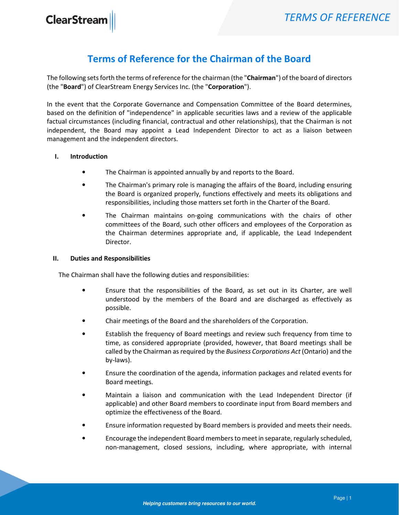**ClearStream** 

## Terms of Reference for the Chairman of the Board

The following sets forth the terms of reference for the chairman (the "Chairman") of the board of directors (the "Board") of ClearStream Energy Services Inc. (the "Corporation").

In the event that the Corporate Governance and Compensation Committee of the Board determines, based on the definition of "independence" in applicable securities laws and a review of the applicable factual circumstances (including financial, contractual and other relationships), that the Chairman is not independent, the Board may appoint a Lead Independent Director to act as a liaison between management and the independent directors.

## I. Introduction

- The Chairman is appointed annually by and reports to the Board.
- The Chairman's primary role is managing the affairs of the Board, including ensuring the Board is organized properly, functions effectively and meets its obligations and responsibilities, including those matters set forth in the Charter of the Board.
- The Chairman maintains on-going communications with the chairs of other committees of the Board, such other officers and employees of the Corporation as the Chairman determines appropriate and, if applicable, the Lead Independent Director.

## II. Duties and Responsibilities

The Chairman shall have the following duties and responsibilities:

- Ensure that the responsibilities of the Board, as set out in its Charter, are well understood by the members of the Board and are discharged as effectively as possible.
- Chair meetings of the Board and the shareholders of the Corporation.
- Establish the frequency of Board meetings and review such frequency from time to time, as considered appropriate (provided, however, that Board meetings shall be called by the Chairman as required by the Business Corporations Act (Ontario) and the by-laws).
- Ensure the coordination of the agenda, information packages and related events for Board meetings.
- Maintain a liaison and communication with the Lead Independent Director (if applicable) and other Board members to coordinate input from Board members and optimize the effectiveness of the Board.
- Ensure information requested by Board members is provided and meets their needs.
- Encourage the independent Board members to meet in separate, regularly scheduled, non-management, closed sessions, including, where appropriate, with internal